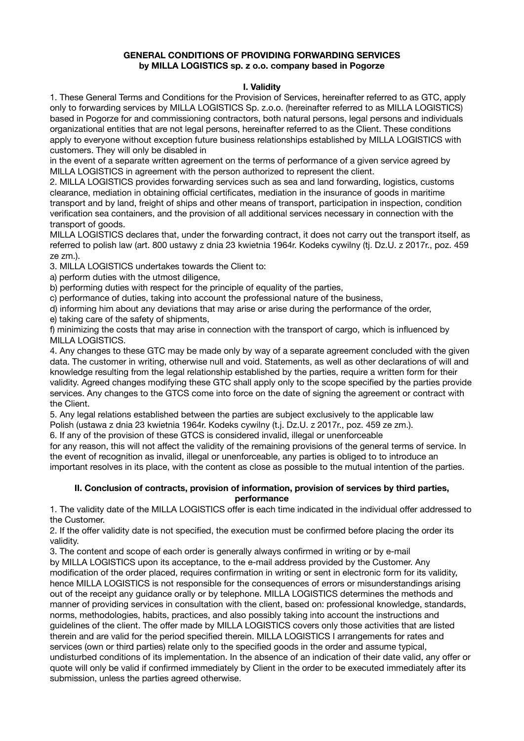## **GENERAL CONDITIONS OF PROVIDING FORWARDING SERVICES by MILLA LOGISTICS sp. z o.o. company based in Pogorze**

# **I. Validity**

1. These General Terms and Conditions for the Provision of Services, hereinafter referred to as GTC, apply only to forwarding services by MILLA LOGISTICS Sp. z.o.o. (hereinafter referred to as MILLA LOGISTICS) based in Pogorze for and commissioning contractors, both natural persons, legal persons and individuals organizational entities that are not legal persons, hereinafter referred to as the Client. These conditions apply to everyone without exception future business relationships established by MILLA LOGISTICS with customers. They will only be disabled in

in the event of a separate written agreement on the terms of performance of a given service agreed by MILLA LOGISTICS in agreement with the person authorized to represent the client.

2. MILLA LOGISTICS provides forwarding services such as sea and land forwarding, logistics, customs clearance, mediation in obtaining official certificates, mediation in the insurance of goods in maritime transport and by land, freight of ships and other means of transport, participation in inspection, condition verification sea containers, and the provision of all additional services necessary in connection with the transport of goods.

MILLA LOGISTICS declares that, under the forwarding contract, it does not carry out the transport itself, as referred to polish law (art. 800 ustawy z dnia 23 kwietnia 1964r. Kodeks cywilny (tj. Dz.U. z 2017r., poz. 459 ze zm.).

3. MILLA LOGISTICS undertakes towards the Client to:

a) perform duties with the utmost diligence,

b) performing duties with respect for the principle of equality of the parties,

c) performance of duties, taking into account the professional nature of the business,

d) informing him about any deviations that may arise or arise during the performance of the order,

e) taking care of the safety of shipments,

f) minimizing the costs that may arise in connection with the transport of cargo, which is influenced by MILLA LOGISTICS.

4. Any changes to these GTC may be made only by way of a separate agreement concluded with the given data. The customer in writing, otherwise null and void. Statements, as well as other declarations of will and knowledge resulting from the legal relationship established by the parties, require a written form for their validity. Agreed changes modifying these GTC shall apply only to the scope specified by the parties provide services. Any changes to the GTCS come into force on the date of signing the agreement or contract with the Client.

5. Any legal relations established between the parties are subject exclusively to the applicable law Polish (ustawa z dnia 23 kwietnia 1964r. Kodeks cywilny (t.j. Dz.U. z 2017r., poz. 459 ze zm.).

6. If any of the provision of these GTCS is considered invalid, illegal or unenforceable

for any reason, this will not affect the validity of the remaining provisions of the general terms of service. In the event of recognition as invalid, illegal or unenforceable, any parties is obliged to to introduce an important resolves in its place, with the content as close as possible to the mutual intention of the parties.

#### **II. Conclusion of contracts, provision of information, provision of services by third parties, performance**

1. The validity date of the MILLA LOGISTICS offer is each time indicated in the individual offer addressed to the Customer.

2. If the offer validity date is not specified, the execution must be confirmed before placing the order its validity.

3. The content and scope of each order is generally always confirmed in writing or by e-mail by MILLA LOGISTICS upon its acceptance, to the e-mail address provided by the Customer. Any modification of the order placed, requires confirmation in writing or sent in electronic form for its validity, hence MILLA LOGISTICS is not responsible for the consequences of errors or misunderstandings arising out of the receipt any guidance orally or by telephone. MILLA LOGISTICS determines the methods and manner of providing services in consultation with the client, based on: professional knowledge, standards, norms, methodologies, habits, practices, and also possibly taking into account the instructions and guidelines of the client. The offer made by MILLA LOGISTICS covers only those activities that are listed therein and are valid for the period specified therein. MILLA LOGISTICS I arrangements for rates and services (own or third parties) relate only to the specified goods in the order and assume typical, undisturbed conditions of its implementation. In the absence of an indication of their date valid, any offer or quote will only be valid if confirmed immediately by Client in the order to be executed immediately after its submission, unless the parties agreed otherwise.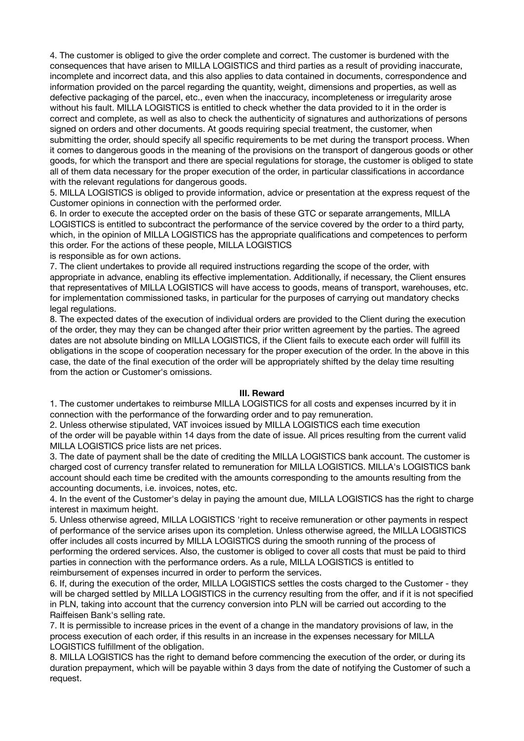4. The customer is obliged to give the order complete and correct. The customer is burdened with the consequences that have arisen to MILLA LOGISTICS and third parties as a result of providing inaccurate, incomplete and incorrect data, and this also applies to data contained in documents, correspondence and information provided on the parcel regarding the quantity, weight, dimensions and properties, as well as defective packaging of the parcel, etc., even when the inaccuracy, incompleteness or irregularity arose without his fault. MILLA LOGISTICS is entitled to check whether the data provided to it in the order is correct and complete, as well as also to check the authenticity of signatures and authorizations of persons signed on orders and other documents. At goods requiring special treatment, the customer, when submitting the order, should specify all specific requirements to be met during the transport process. When it comes to dangerous goods in the meaning of the provisions on the transport of dangerous goods or other goods, for which the transport and there are special regulations for storage, the customer is obliged to state all of them data necessary for the proper execution of the order, in particular classifications in accordance with the relevant regulations for dangerous goods.

5. MILLA LOGISTICS is obliged to provide information, advice or presentation at the express request of the Customer opinions in connection with the performed order.

6. In order to execute the accepted order on the basis of these GTC or separate arrangements, MILLA LOGISTICS is entitled to subcontract the performance of the service covered by the order to a third party, which, in the opinion of MILLA LOGISTICS has the appropriate qualifications and competences to perform this order. For the actions of these people, MILLA LOGISTICS is responsible as for own actions.

7. The client undertakes to provide all required instructions regarding the scope of the order, with appropriate in advance, enabling its effective implementation. Additionally, if necessary, the Client ensures that representatives of MILLA LOGISTICS will have access to goods, means of transport, warehouses, etc. for implementation commissioned tasks, in particular for the purposes of carrying out mandatory checks legal regulations.

8. The expected dates of the execution of individual orders are provided to the Client during the execution of the order, they may they can be changed after their prior written agreement by the parties. The agreed dates are not absolute binding on MILLA LOGISTICS, if the Client fails to execute each order will fulfill its obligations in the scope of cooperation necessary for the proper execution of the order. In the above in this case, the date of the final execution of the order will be appropriately shifted by the delay time resulting from the action or Customer's omissions.

## **III. Reward**

1. The customer undertakes to reimburse MILLA LOGISTICS for all costs and expenses incurred by it in connection with the performance of the forwarding order and to pay remuneration.

2. Unless otherwise stipulated, VAT invoices issued by MILLA LOGISTICS each time execution of the order will be payable within 14 days from the date of issue. All prices resulting from the current valid MILLA LOGISTICS price lists are net prices.

3. The date of payment shall be the date of crediting the MILLA LOGISTICS bank account. The customer is charged cost of currency transfer related to remuneration for MILLA LOGISTICS. MILLA's LOGISTICS bank account should each time be credited with the amounts corresponding to the amounts resulting from the accounting documents, i.e. invoices, notes, etc.

4. In the event of the Customer's delay in paying the amount due, MILLA LOGISTICS has the right to charge interest in maximum height.

5. Unless otherwise agreed, MILLA LOGISTICS 'right to receive remuneration or other payments in respect of performance of the service arises upon its completion. Unless otherwise agreed, the MILLA LOGISTICS offer includes all costs incurred by MILLA LOGISTICS during the smooth running of the process of performing the ordered services. Also, the customer is obliged to cover all costs that must be paid to third parties in connection with the performance orders. As a rule, MILLA LOGISTICS is entitled to reimbursement of expenses incurred in order to perform the services.

6. If, during the execution of the order, MILLA LOGISTICS settles the costs charged to the Customer - they will be charged settled by MILLA LOGISTICS in the currency resulting from the offer, and if it is not specified in PLN, taking into account that the currency conversion into PLN will be carried out according to the Raiffeisen Bank's selling rate.

7. It is permissible to increase prices in the event of a change in the mandatory provisions of law, in the process execution of each order, if this results in an increase in the expenses necessary for MILLA LOGISTICS fulfillment of the obligation.

8. MILLA LOGISTICS has the right to demand before commencing the execution of the order, or during its duration prepayment, which will be payable within 3 days from the date of notifying the Customer of such a request.